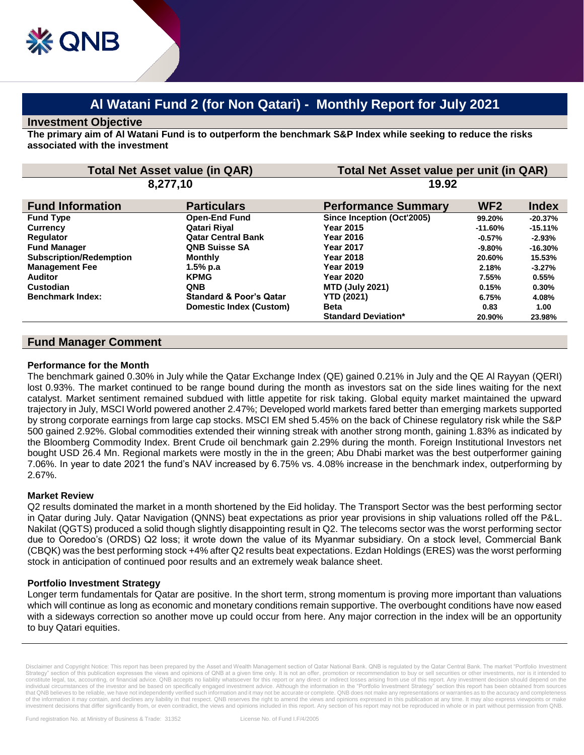# **Al Watani Fund 2 (for Non Qatari) - Monthly Report for July 2021**

#### **Investment Objective**

**The primary aim of Al Watani Fund is to outperform the benchmark S&P Index while seeking to reduce the risks associated with the investment**

| <b>Total Net Asset value (in QAR)</b><br>8,277,10 |                                    | Total Net Asset value per unit (in QAR)<br>19.92 |           |           |
|---------------------------------------------------|------------------------------------|--------------------------------------------------|-----------|-----------|
|                                                   |                                    |                                                  |           |           |
| <b>Fund Type</b>                                  | <b>Open-End Fund</b>               | Since Inception (Oct'2005)                       | 99.20%    | $-20.37%$ |
| <b>Currency</b>                                   | Qatari Riyal                       | <b>Year 2015</b>                                 | $-11.60%$ | $-15.11%$ |
| Regulator                                         | <b>Qatar Central Bank</b>          | Year 2016                                        | $-0.57%$  | $-2.93%$  |
| <b>Fund Manager</b>                               | <b>QNB Suisse SA</b>               | <b>Year 2017</b>                                 | $-9.80\%$ | $-16.30%$ |
| <b>Subscription/Redemption</b>                    | Monthly                            | Year 2018                                        | 20.60%    | 15.53%    |
| <b>Management Fee</b>                             | 1.5% p.a                           | <b>Year 2019</b>                                 | 2.18%     | $-3.27%$  |
| <b>Auditor</b>                                    | <b>KPMG</b>                        | <b>Year 2020</b>                                 | 7.55%     | 0.55%     |
| Custodian                                         | <b>QNB</b>                         | <b>MTD (July 2021)</b>                           | 0.15%     | $0.30\%$  |
| <b>Benchmark Index:</b>                           | <b>Standard &amp; Poor's Qatar</b> | <b>YTD (2021)</b>                                | 6.75%     | 4.08%     |
|                                                   | Domestic Index (Custom)            | <b>Beta</b>                                      | 0.83      | 1.00      |
|                                                   |                                    | <b>Standard Deviation*</b>                       | 20.90%    | 23.98%    |

# **Fund Manager Comment**

#### **Performance for the Month**

The benchmark gained 0.30% in July while the Qatar Exchange Index (QE) gained 0.21% in July and the QE Al Rayyan (QERI) lost 0.93%. The market continued to be range bound during the month as investors sat on the side lines waiting for the next catalyst. Market sentiment remained subdued with little appetite for risk taking. Global equity market maintained the upward trajectory in July, MSCI World powered another 2.47%; Developed world markets fared better than emerging markets supported by strong corporate earnings from large cap stocks. MSCI EM shed 5.45% on the back of Chinese regulatory risk while the S&P 500 gained 2.92%. Global commodities extended their winning streak with another strong month, gaining 1.83% as indicated by the Bloomberg Commodity Index. Brent Crude oil benchmark gain 2.29% during the month. Foreign Institutional Investors net bought USD 26.4 Mn. Regional markets were mostly in the in the green; Abu Dhabi market was the best outperformer gaining 7.06%. In year to date 2021 the fund's NAV increased by 6.75% vs. 4.08% increase in the benchmark index, outperforming by 2.67%.

## **Market Review**

Q2 results dominated the market in a month shortened by the Eid holiday. The Transport Sector was the best performing sector in Qatar during July. Qatar Navigation (QNNS) beat expectations as prior year provisions in ship valuations rolled off the P&L. Nakilat (QGTS) produced a solid though slightly disappointing result in Q2. The telecoms sector was the worst performing sector due to Ooredoo's (ORDS) Q2 loss; it wrote down the value of its Myanmar subsidiary. On a stock level, Commercial Bank (CBQK) was the best performing stock +4% after Q2 results beat expectations. Ezdan Holdings (ERES) was the worst performing stock in anticipation of continued poor results and an extremely weak balance sheet.

## **Portfolio Investment Strategy**

Longer term fundamentals for Qatar are positive. In the short term, strong momentum is proving more important than valuations which will continue as long as economic and monetary conditions remain supportive. The overbought conditions have now eased with a sideways correction so another move up could occur from here. Any major correction in the index will be an opportunity to buy Qatari equities.

Disclaimer and Copyright Notice: This report has been prepared by the Asset and Wealth Management section of Qatar National Bank. QNB is regulated by the Qatar Central Bank. The market "Portfolio Investment Strategy" section of this publication expresses the views and opinions of QNB at a given time only. It is not an offer, promotion or recommendation to buy or sell securities or other investments, nor is it intended to<br>cons individual circumstances of the investor and be based on specifically engaged investment advice. Although the information in the "Portfolio Investment Strategy" section this report has been obtained from sources that QNB believes to be reliable, we have not independently verified such information and it may not be accurate or complete. QNB does not make any representations or warranties as to the accuracy and completeness of the information it may contain, and declines any liability in that respect. QNB reserves the right to amend the views and opinions expressed in this publication at any time. It may also express viewpoints or make investment decisions that differ significantly from, or even contradict, the views and opinions included in this report. Any section of his report may not be reproduced in whole or in part without permission from QNB.